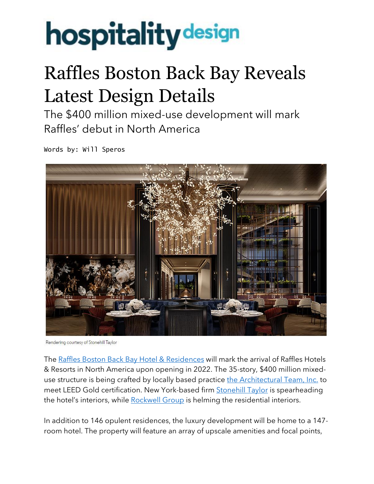## **hospitality** design

## Raffles Boston Back Bay Reveals Latest Design Details

The \$400 million mixed-use development will mark Raffles' debut in North America

Words by: Will Speros



Rendering courtesy of Stonehill Taylor

The Raffles Boston Back Bay Hotel & [Residences](https://press.accor.com/north-central-america-and-caribbean/accorhotels-to-open-the-first-raffles-hotel-residences-in-north-america/) will mark the arrival of Raffles Hotels & Resorts in North America upon opening in 2022. The 35-story, \$400 million mixed-use structure is being crafted by locally based practice the [Architectural](https://www.architecturalteam.com/) Team, Inc. to meet LEED Gold certification. New York-based firm **[Stonehill](https://stonehilltaylor.com/) Taylor** is spearheading the hotel's interiors, while [Rockwell](https://hospitalitydesign.com/people/podcasts/david-rockwell-rockwell-group-podcast/) Group is helming the residential interiors.

In addition to 146 opulent residences, the luxury development will be home to a 147 room hotel. The property will feature an array of upscale amenities and focal points,